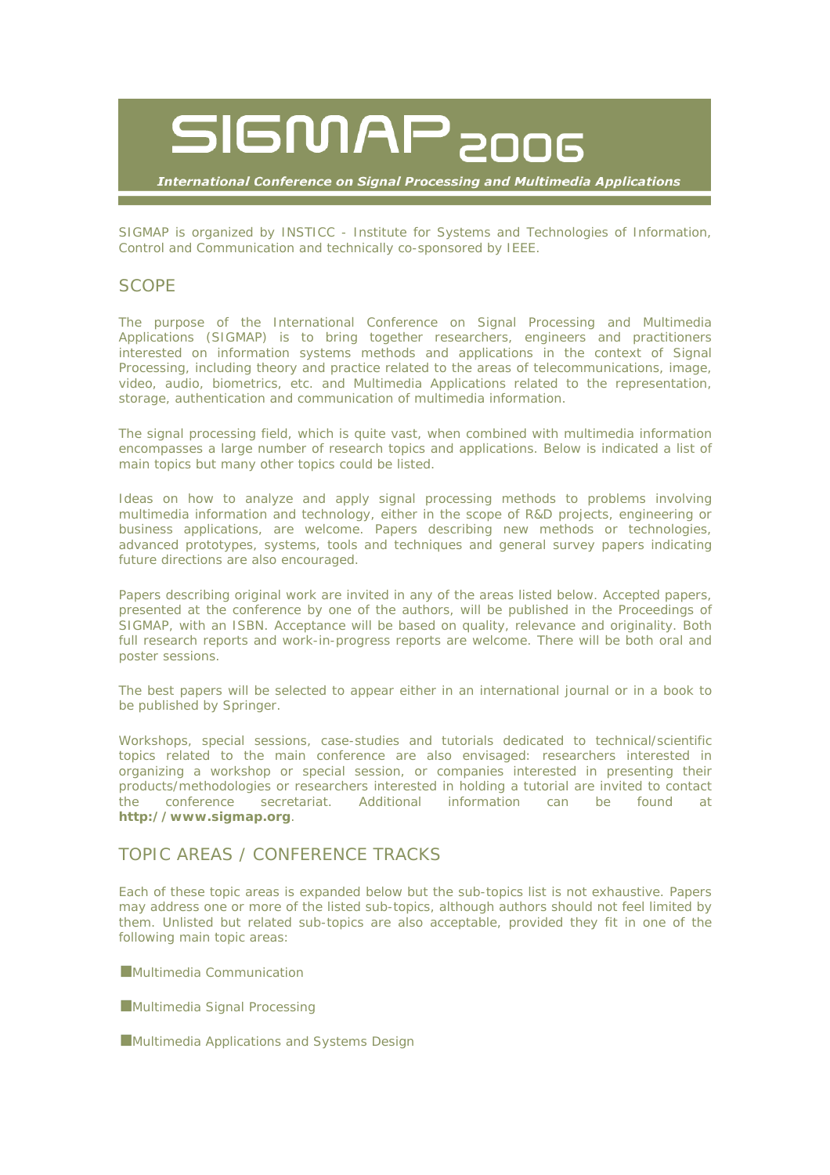

**International Conference on Signal Processing and Multimedia Applications** 

SIGMAP is organized by INSTICC - Institute for Systems and Technologies of Information, Control and Communication and technically co-sponsored by IEEE.

## **SCOPE**

The purpose of the *International Conference on Signal Processing and Multimedia Applications* (SIGMAP) is to bring together researchers, engineers and practitioners interested on information systems methods and applications in the context of Signal Processing, including theory and practice related to the areas of telecommunications, image, video, audio, biometrics, etc. and Multimedia Applications related to the representation, storage, authentication and communication of multimedia information.

The signal processing field, which is quite vast, when combined with multimedia information encompasses a large number of research topics and applications. Below is indicated a list of main topics but many other topics could be listed.

Ideas on how to analyze and apply signal processing methods to problems involving multimedia information and technology, either in the scope of R&D projects, engineering or business applications, are welcome. Papers describing new methods or technologies, advanced prototypes, systems, tools and techniques and general survey papers indicating future directions are also encouraged.

Papers describing original work are invited in any of the areas listed below. Accepted papers, presented at the conference by one of the authors, will be published in the Proceedings of SIGMAP, with an ISBN. Acceptance will be based on quality, relevance and originality. Both full research reports and work-in-progress reports are welcome. There will be both oral and poster sessions.

The best papers will be selected to appear either in an international journal or in a book to be published by Springer.

Workshops, special sessions, case-studies and tutorials dedicated to technical/scientific topics related to the main conference are also envisaged: researchers interested in organizing a workshop or special session, or companies interested in presenting their products/methodologies or researchers interested in holding a tutorial are invited to contact the conference secretariat. Additional information can be found at **http://www.sigmap.org**.

## TOPIC AREAS / CONFERENCE TRACKS

Each of these topic areas is expanded below but the sub-topics list is not exhaustive. Papers may address one or more of the listed sub-topics, although authors should not feel limited by them. Unlisted but related sub-topics are also acceptable, provided they fit in one of the following main topic areas:

**Multimedia Communication** 

Multimedia Signal Processing

Multimedia Applications and Systems Design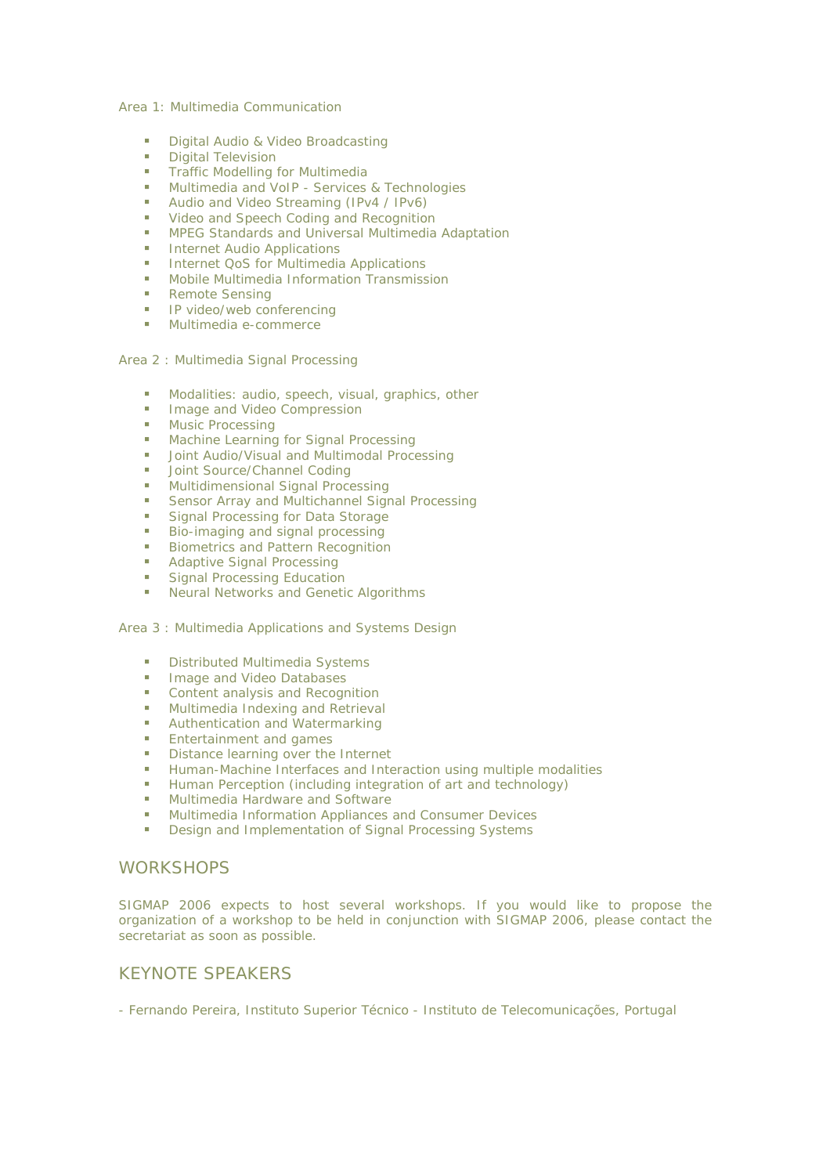Area 1: Multimedia Communication

- **Digital Audio & Video Broadcasting**
- **Digital Television**
- **Traffic Modelling for Multimedia**
- **Multimedia and VoIP Services & Technologies**
- **Audio and Video Streaming (IPv4 / IPv6)**
- **Video and Speech Coding and Recognition**
- **MPEG Standards and Universal Multimedia Adaptation**
- **Internet Audio Applications**
- **Internet QoS for Multimedia Applications**
- **Mobile Multimedia Information Transmission**
- Remote Sensing
- **IP video/web conferencing**
- **Multimedia e-commerce**

Area 2 : Multimedia Signal Processing

- **Modalities: audio, speech, visual, graphics, other**
- **Image and Video Compression**
- **Music Processing**
- **Machine Learning for Signal Processing**
- **-** Joint Audio/Visual and Multimodal Processing
- Joint Source/Channel Coding
- **Multidimensional Signal Processing**
- Sensor Array and Multichannel Signal Processing
- Signal Processing for Data Storage
- **Bio-imaging and signal processing**
- **Biometrics and Pattern Recognition**
- **Adaptive Signal Processing**
- Signal Processing Education
- **Neural Networks and Genetic Algorithms**

Area 3 : Multimedia Applications and Systems Design

- **Distributed Multimedia Systems**
- **Image and Video Databases**
- **Content analysis and Recognition**
- **Multimedia Indexing and Retrieval**
- **Authentication and Watermarking**
- **Entertainment and games**
- Distance learning over the Internet
- **Human-Machine Interfaces and Interaction using multiple modalities**<br> **Human Perception (including integration of art and technology)**
- Human Perception (including integration of art and technology)
- **■** Multimedia Hardware and Software
- **Multimedia Information Appliances and Consumer Devices**
- Design and Implementation of Signal Processing Systems

### **WORKSHOPS**

SIGMAP 2006 expects to host several workshops. If you would like to propose the organization of a workshop to be held in conjunction with SIGMAP 2006, please contact the secretariat as soon as possible.

### KEYNOTE SPEAKERS

- Fernando Pereira, Instituto Superior Técnico - Instituto de Telecomunicações, Portugal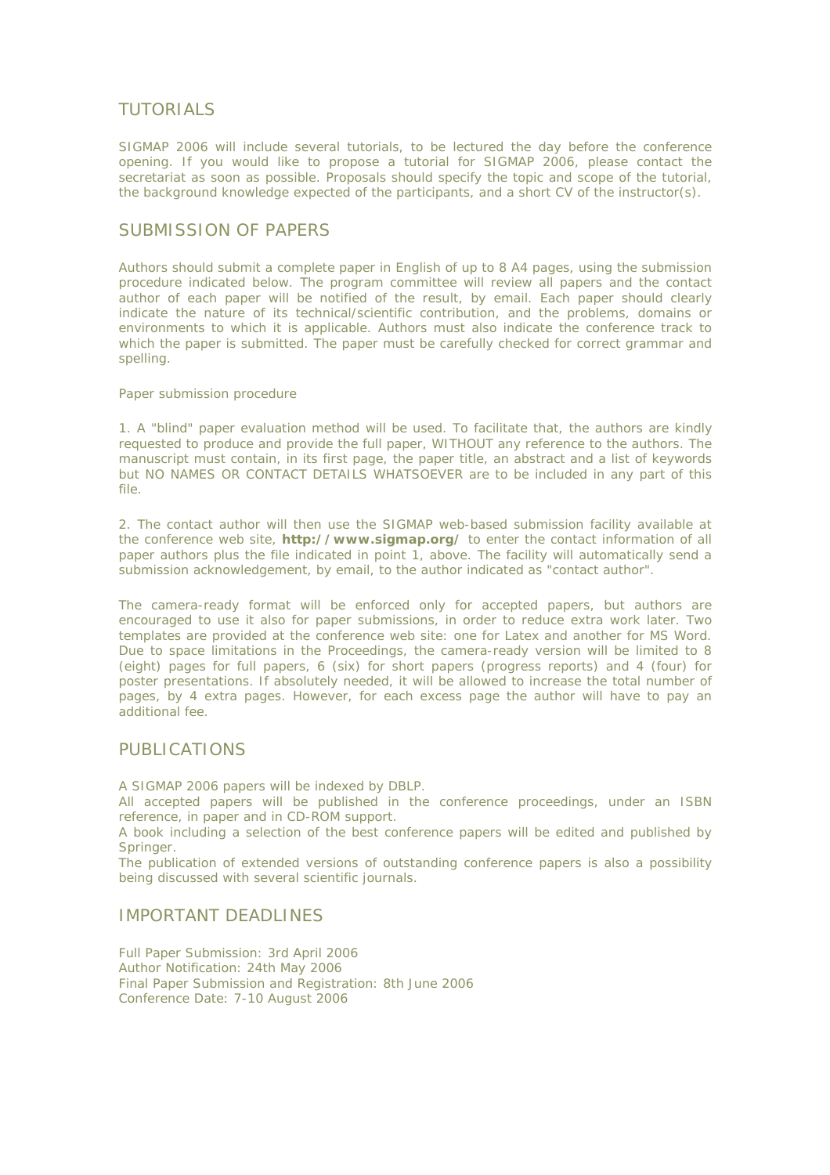## TUTORIALS

SIGMAP 2006 will include several tutorials, to be lectured the day before the conference opening. If you would like to propose a tutorial for SIGMAP 2006, please contact the secretariat as soon as possible. Proposals should specify the topic and scope of the tutorial, the background knowledge expected of the participants, and a short CV of the instructor(s).

## SUBMISSION OF PAPERS

Authors should submit a complete paper in English of up to 8 A4 pages, using the submission procedure indicated below. The program committee will review all papers and the contact author of each paper will be notified of the result, by email. Each paper should clearly indicate the nature of its technical/scientific contribution, and the problems, domains or environments to which it is applicable. Authors must also indicate the conference track to which the paper is submitted. The paper must be carefully checked for correct grammar and spelling.

#### Paper submission procedure

1. A "blind" paper evaluation method will be used. To facilitate that, the authors are kindly requested to produce and provide the full paper, WITHOUT any reference to the authors. The manuscript must contain, in its first page, the paper title, an abstract and a list of keywords but NO NAMES OR CONTACT DETAILS WHATSOEVER are to be included in any part of this file.

2. The contact author will then use the SIGMAP web-based submission facility available at the conference web site, **http://www.sigmap.org/** to enter the contact information of all paper authors plus the file indicated in point 1, above. The facility will automatically send a submission acknowledgement, by email, to the author indicated as "contact author".

The camera-ready format will be enforced only for accepted papers, but authors are encouraged to use it also for paper submissions, in order to reduce extra work later. Two templates are provided at the conference web site: one for Latex and another for MS Word. Due to space limitations in the Proceedings, the camera-ready version will be limited to 8 (eight) pages for full papers, 6 (six) for short papers (progress reports) and 4 (four) for poster presentations. If absolutely needed, it will be allowed to increase the total number of pages, by 4 extra pages. However, for each excess page the author will have to pay an additional fee.

## PUBLICATIONS

A SIGMAP 2006 papers will be indexed by DBLP.

All accepted papers will be published in the conference proceedings, under an ISBN reference, in paper and in CD-ROM support.

A book including a selection of the best conference papers will be edited and published by Springer.

The publication of extended versions of outstanding conference papers is also a possibility being discussed with several scientific journals.

# IMPORTANT DEADLINES

Full Paper Submission: 3rd April 2006 Author Notification: 24th May 2006 Final Paper Submission and Registration: 8th June 2006 Conference Date: 7-10 August 2006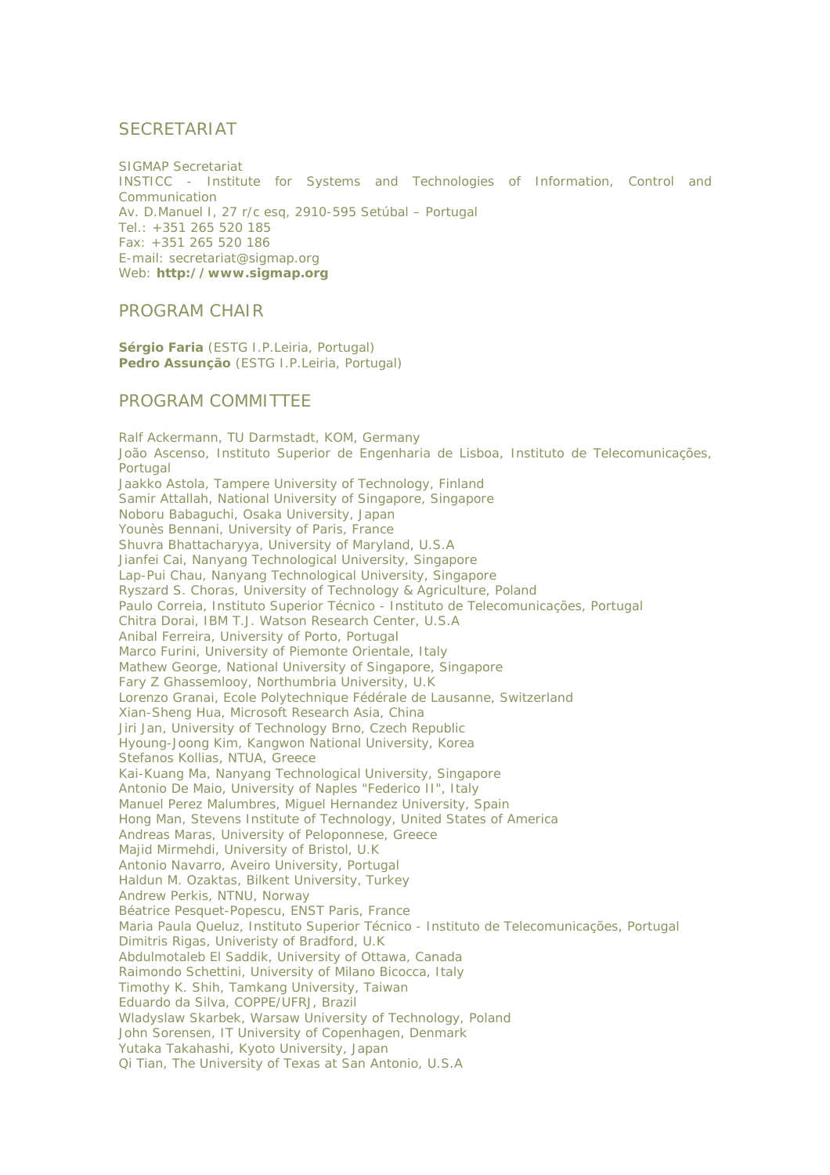## **SECRETARIAT**

SIGMAP Secretariat INSTICC - Institute for Systems and Technologies of Information, Control and Communication Av. D.Manuel I, 27 r/c esq, 2910-595 Setúbal – Portugal Tel.: +351 265 520 185 Fax: +351 265 520 186 E-mail: secretariat@sigmap.org Web: **http://www.sigmap.org**

### PROGRAM CHAIR

**Sérgio Faria** (ESTG I.P.Leiria, Portugal) **Pedro Assunção** (ESTG I.P.Leiria, Portugal)

### PROGRAM COMMITTEE

Ralf Ackermann, TU Darmstadt, KOM, Germany João Ascenso, Instituto Superior de Engenharia de Lisboa, Instituto de Telecomunicações, Portugal Jaakko Astola, Tampere University of Technology, Finland Samir Attallah, National University of Singapore, Singapore Noboru Babaguchi, Osaka University, Japan Younès Bennani, University of Paris, France Shuvra Bhattacharyya, University of Maryland, U.S.A Jianfei Cai, Nanyang Technological University, Singapore Lap-Pui Chau, Nanyang Technological University, Singapore Ryszard S. Choras, University of Technology & Agriculture, Poland Paulo Correia, Instituto Superior Técnico - Instituto de Telecomunicações, Portugal Chitra Dorai, IBM T.J. Watson Research Center, U.S.A Anibal Ferreira, University of Porto, Portugal Marco Furini, University of Piemonte Orientale, Italy Mathew George, National University of Singapore, Singapore Fary Z Ghassemlooy, Northumbria University, U.K Lorenzo Granai, Ecole Polytechnique Fédérale de Lausanne, Switzerland Xian-Sheng Hua, Microsoft Research Asia, China Jiri Jan, University of Technology Brno, Czech Republic Hyoung-Joong Kim, Kangwon National University, Korea Stefanos Kollias, NTUA, Greece Kai-Kuang Ma, Nanyang Technological University, Singapore Antonio De Maio, University of Naples "Federico II", Italy Manuel Perez Malumbres, Miguel Hernandez University, Spain Hong Man, Stevens Institute of Technology, United States of America Andreas Maras, University of Peloponnese, Greece Majid Mirmehdi, University of Bristol, U.K Antonio Navarro, Aveiro University, Portugal Haldun M. Ozaktas, Bilkent University, Turkey Andrew Perkis, NTNU, Norway Béatrice Pesquet-Popescu, ENST Paris, France Maria Paula Queluz, Instituto Superior Técnico - Instituto de Telecomunicações, Portugal Dimitris Rigas, Univeristy of Bradford, U.K Abdulmotaleb El Saddik, University of Ottawa, Canada Raimondo Schettini, University of Milano Bicocca, Italy Timothy K. Shih, Tamkang University, Taiwan Eduardo da Silva, COPPE/UFRJ, Brazil Wladyslaw Skarbek, Warsaw University of Technology, Poland John Sorensen, IT University of Copenhagen, Denmark Yutaka Takahashi, Kyoto University, Japan Qi Tian, The University of Texas at San Antonio, U.S.A